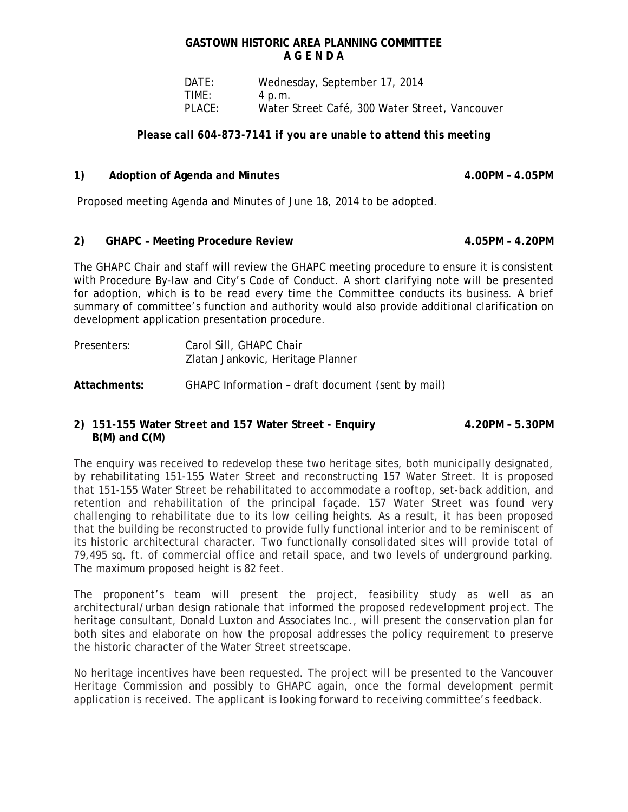# **GASTOWN HISTORIC AREA PLANNING COMMITTEE A G E N D A**

 DATE: Wednesday, September 17, 2014 TIME: 4 p.m. PLACE: Water Street Café, 300 Water Street, Vancouver

#### *Please call 604-873-7141 if you are unable to attend this meeting*

### 1) Adoption of Agenda and Minutes **4.00PM = 4.05PM**

Proposed meeting Agenda and Minutes of June 18, 2014 to be adopted.

#### **2) GHAPC – Meeting Procedure Review 4.05PM – 4.20PM**

The GHAPC Chair and staff will review the GHAPC meeting procedure to ensure it is consistent with Procedure By-law and City's Code of Conduct. A short clarifying note will be presented for adoption, which is to be read every time the Committee conducts its business. A brief summary of committee's function and authority would also provide additional clarification on development application presentation procedure.

Presenters: Carol Sill, GHAPC Chair Zlatan Jankovic, Heritage Planner

**Attachments:** GHAPC Information – draft document (sent by mail)

# **2) 151-155 Water Street and 157 Water Street - Enquiry 4.20PM – 5.30PM B(M) and C(M)**

The enquiry was received to redevelop these two heritage sites, both municipally designated, by rehabilitating 151-155 Water Street and reconstructing 157 Water Street. It is proposed that 151-155 Water Street be rehabilitated to accommodate a rooftop, set-back addition, and retention and rehabilitation of the principal façade. 157 Water Street was found very challenging to rehabilitate due to its low ceiling heights. As a result, it has been proposed that the building be reconstructed to provide fully functional interior and to be reminiscent of its historic architectural character. Two functionally consolidated sites will provide total of 79,495 sq. ft. of commercial office and retail space, and two levels of underground parking. The maximum proposed height is 82 feet.

The proponent's team will present the project, feasibility study as well as an architectural/urban design rationale that informed the proposed redevelopment project. The heritage consultant, Donald Luxton and Associates Inc., will present the conservation plan for both sites and elaborate on how the proposal addresses the policy requirement to preserve the historic character of the Water Street streetscape.

No heritage incentives have been requested. The project will be presented to the Vancouver Heritage Commission and possibly to GHAPC again, once the formal development permit application is received. The applicant is looking forward to receiving committee's feedback.